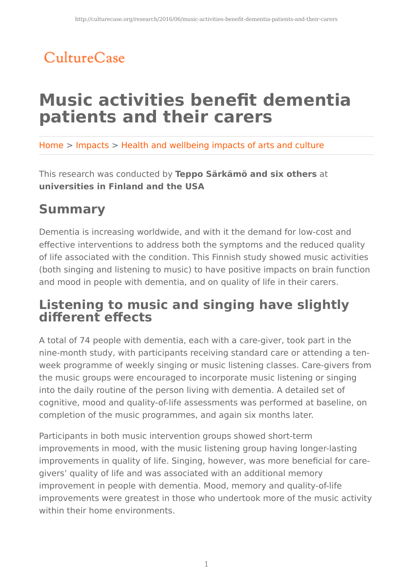# CultureCase

# **Music activities benefit dementia patients and their carers**

Home > Impacts > Health and wellbeing impacts of arts and culture

This research was conducted by **Teppo Särkämö and six others** at **universities in Finland and the USA** 

## **Summary**

Dementia is increasing worldwide, and with it the demand for low-cost and effective interventions to address both the symptoms and the reduced quality of life associated with the condition. This Finnish study showed music activities (both singing and listening to music) to have positive impacts on brain function and mood in people with dementia, and on quality of life in their carers.

### **Listening to music and singing have slightly different effects**

A total of 74 people with dementia, each with a care-giver, took part in the nine-month study, with participants receiving standard care or attending a tenweek programme of weekly singing or music listening classes. Care-givers from the music groups were encouraged to incorporate music listening or singing into the daily routine of the person living with dementia. A detailed set of cognitive, mood and quality-of-life assessments was performed at baseline, on completion of the music programmes, and again six months later.

Participants in both music intervention groups showed short-term improvements in mood, with the music listening group having longer-lasting improvements in quality of life. Singing, however, was more beneficial for caregivers' quality of life and was associated with an additional memory improvement in people with dementia. Mood, memory and quality-of-life improvements were greatest in those who undertook more of the music activity within their home environments.